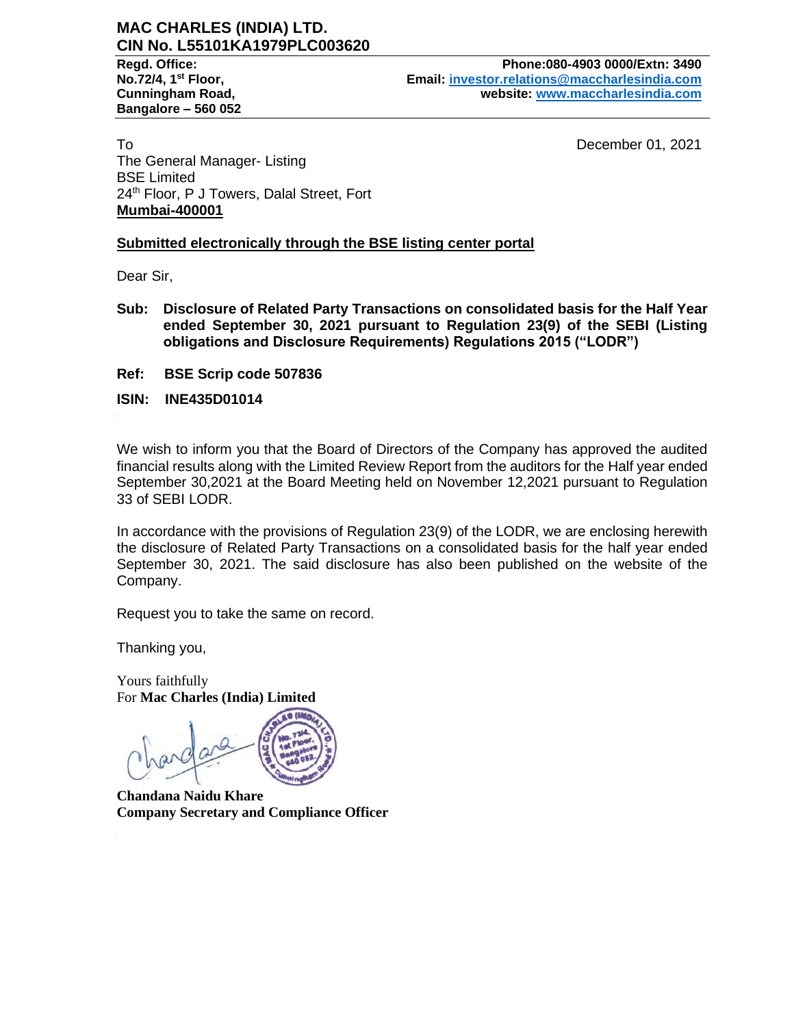# **MAC CHARLES (INDIA) LTD. CIN No. L55101KA1979PLC003620**

**Bangalore – 560 052**

**Regd. Office: Phone:080-4903 0000/Extn: 3490 No.72/4, 1st Floor, Email: [investor.relations@maccharlesindia.com](mailto:investor.relations@maccharlesindia.com) Cunningham Road, website: [www.maccharlesindia.com](http://www.maccharlesindia.com/)**

To December 01, 2021 The General Manager- Listing BSE Limited 24<sup>th</sup> Floor, P J Towers, Dalal Street, Fort **Mumbai-400001**

# **Submitted electronically through the BSE listing center portal**

Dear Sir,

- **Sub: Disclosure of Related Party Transactions on consolidated basis for the Half Year ended September 30, 2021 pursuant to Regulation 23(9) of the SEBI (Listing obligations and Disclosure Requirements) Regulations 2015 ("LODR")**
- **Ref: BSE Scrip code 507836**

**ISIN: INE435D01014**

We wish to inform you that the Board of Directors of the Company has approved the audited financial results along with the Limited Review Report from the auditors for the Half year ended September 30,2021 at the Board Meeting held on November 12,2021 pursuant to Regulation 33 of SEBI LODR.

In accordance with the provisions of Regulation 23(9) of the LODR, we are enclosing herewith the disclosure of Related Party Transactions on a consolidated basis for the half year ended September 30, 2021. The said disclosure has also been published on the website of the Company.

Request you to take the same on record.

Thanking you,

Yours faithfully For **Mac Charles (India) Limited**

**Chandana Naidu Khare Company Secretary and Compliance Officer**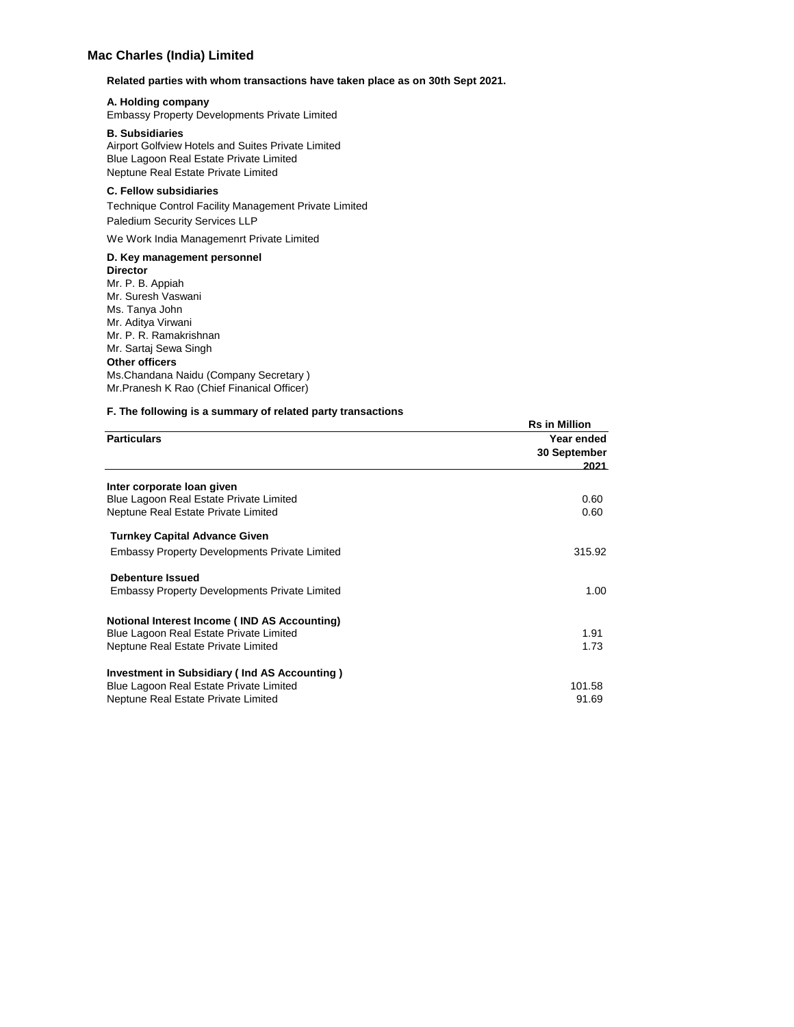# **Mac Charles (India) Limited**

#### **Related parties with whom transactions have taken place as on 30th Sept 2021.**

#### **A. Holding company**

Embassy Property Developments Private Limited

#### **B. Subsidiaries**

Airport Golfview Hotels and Suites Private Limited Blue Lagoon Real Estate Private Limited Neptune Real Estate Private Limited

## **C. Fellow subsidiaries**

Technique Control Facility Management Private Limited Paledium Security Services LLP

We Work India Managemenrt Private Limited

### **D. Key management personnel**

**Director** Mr. P. B. Appiah Mr. Suresh Vaswani Ms. Tanya John Mr. Aditya Virwani Mr. P. R. Ramakrishnan Mr. Sartaj Sewa Singh **Other officers** Ms.Chandana Naidu (Company Secretary ) Mr.Pranesh K Rao (Chief Finanical Officer)

#### **F. The following is a summary of related party transactions**

|                                                      | <b>Rs in Million</b>               |
|------------------------------------------------------|------------------------------------|
| <b>Particulars</b>                                   | Year ended<br>30 September<br>2021 |
| Inter corporate loan given                           |                                    |
| Blue Lagoon Real Estate Private Limited              | 0.60                               |
| Neptune Real Estate Private Limited                  | 0.60                               |
| <b>Turnkey Capital Advance Given</b>                 |                                    |
| <b>Embassy Property Developments Private Limited</b> | 315.92                             |
| <b>Debenture Issued</b>                              |                                    |
| <b>Embassy Property Developments Private Limited</b> | 1.00                               |
| Notional Interest Income (IND AS Accounting)         |                                    |
| Blue Lagoon Real Estate Private Limited              | 1.91                               |
| Neptune Real Estate Private Limited                  | 1.73                               |
| Investment in Subsidiary (Ind AS Accounting)         |                                    |
| Blue Lagoon Real Estate Private Limited              | 101.58                             |
| Neptune Real Estate Private Limited                  | 91.69                              |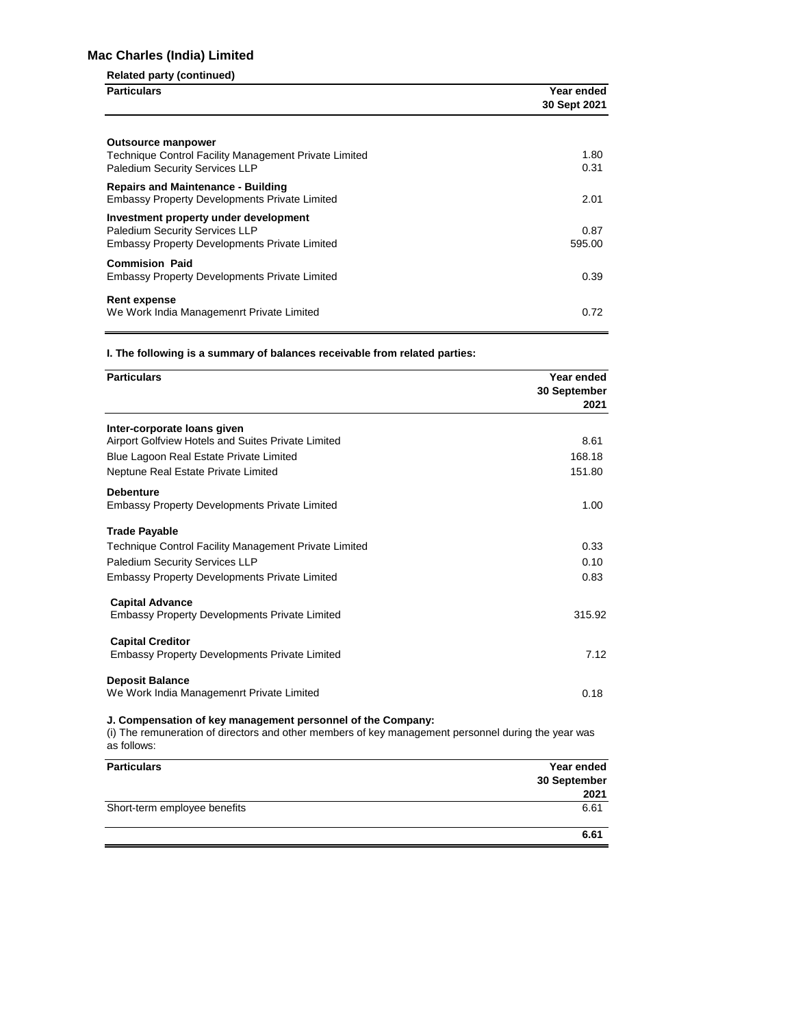# **Mac Charles (India) Limited**

### **Related party (continued)**

| <b>Particulars</b>                                    | Year ended<br>30 Sept 2021 |
|-------------------------------------------------------|----------------------------|
|                                                       |                            |
| <b>Outsource manpower</b>                             |                            |
| Technique Control Facility Management Private Limited | 1.80                       |
| Paledium Security Services LLP                        | 0.31                       |
| <b>Repairs and Maintenance - Building</b>             |                            |
| <b>Embassy Property Developments Private Limited</b>  | 2.01                       |
| Investment property under development                 |                            |
| <b>Paledium Security Services LLP</b>                 | 0.87                       |
| <b>Embassy Property Developments Private Limited</b>  | 595.00                     |
| <b>Commision Paid</b>                                 |                            |
| <b>Embassy Property Developments Private Limited</b>  | 0.39                       |
|                                                       |                            |
| <b>Rent expense</b>                                   |                            |
| We Work India Managemenrt Private Limited             | 0.72                       |

**I. The following is a summary of balances receivable from related parties:**

| <b>Particulars</b>                                                              | Year ended<br>30 September<br>2021 |
|---------------------------------------------------------------------------------|------------------------------------|
| Inter-corporate loans given                                                     |                                    |
| Airport Golfview Hotels and Suites Private Limited                              | 8.61                               |
| Blue Lagoon Real Estate Private Limited                                         | 168.18                             |
| Neptune Real Estate Private Limited                                             | 151.80                             |
| <b>Debenture</b><br><b>Embassy Property Developments Private Limited</b>        | 1.00                               |
| <b>Trade Payable</b>                                                            |                                    |
| Technique Control Facility Management Private Limited                           | 0.33                               |
| Paledium Security Services LLP                                                  | 0.10                               |
| <b>Embassy Property Developments Private Limited</b>                            | 0.83                               |
| <b>Capital Advance</b><br><b>Embassy Property Developments Private Limited</b>  | 315.92                             |
| <b>Capital Creditor</b><br><b>Embassy Property Developments Private Limited</b> | 7.12                               |
| <b>Deposit Balance</b><br>We Work India Managemenrt Private Limited             | 0.18                               |

**J. Compensation of key management personnel of the Company:**

(i) The remuneration of directors and other members of key management personnel during the year was as follows:

| <b>Particulars</b>           | Year ended<br>30 September |
|------------------------------|----------------------------|
|                              | 2021                       |
| Short-term employee benefits | 6.61                       |
|                              | 6.61                       |